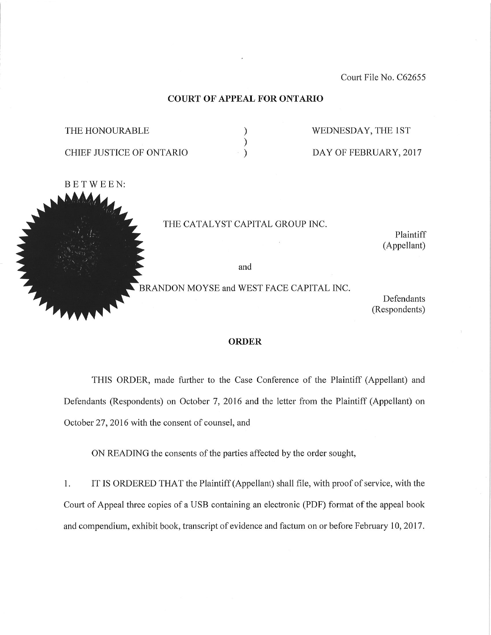Court File No. C62655

#### COURT OF APPEAL FOR ONTARIO

| THE HONOURABLE           |  |
|--------------------------|--|
|                          |  |
| CHIEF JUSTICE OF ONTARIO |  |

WEDNESDAY, THE 1ST

DAY OF FEBRUARY, 2017



THE CATALYST CAPITAL GROUP INC.

Plaintiff (Appellant)

and

BRANDON MOYSE and WEST FACE CAPITAL INC.

Defendants (Respondents)

#### ORDER

THIS ORDER, made further to the Case Conference of the Plaintiff (Appellant) and Defendants (Respondents) on October 7, 2016 and the letter from the Plaintiff (Appellant) on October 27, 2016 with the consent of counsel, and

ON READING the consents of the parties affected by the order sought,

1. IT IS ORDERED THAT the Plaintiff (Appellant) shall file, with proof of service, with the Court of Appeal three copies of a USB containing an electronic (PDF) format of the appeal book and compendium, exhibit book, transcript of evidence and factum on or before February 10,2017.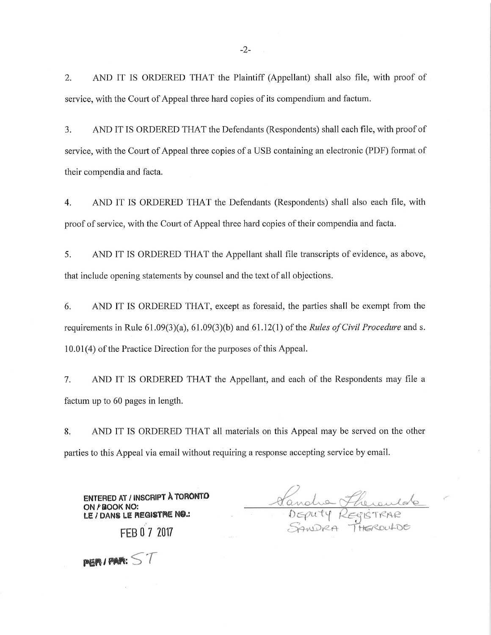2. AND IT IS ORDERED THAT the Plaintiff (Appellant) shall also file, with proof of service, with the Court of Appeal three hard copies of its compendium and factum.

3. AND IT IS ORDERED THAT the Defendants (Respondents) shall each file, with proof of service, with the Court of Appeal three copies of a USB containing an electronic (PDF) format of their compendia and facta.

4. AND IT IS ORDERED THAT the Defendants (Respondents) shall also each file, with proof of service, with the Court of Appeal three hard copies of their compendia and facta.

5. AND IT IS ORDERED THAT the Appellant shall file transcripts of evidence, as above, that include opening statements by counsel and the text of all objections.

6. AND IT IS ORDERED THAT, except as foresald, the parties shall be exempt from the requirements in Rule  $61.09(3)(a)$ ,  $61.09(3)(b)$  and  $61.12(1)$  of the *Rules of Civil Procedure* and s. 10.01(4) of the Practice Direction for the purposes of this Appeal.

7. AND IT IS ORDERED THAT the Appellant, and each of the Respondents may file a factum up to 60 pages in length.

8. AND IT IS ORDERED THAT all materials on this Appeal may be served on the other parties to this Appeal via email without requiring a response accepting service by email.

ENTERED AT / INSCRIPT A TORONTO Vandre Harry  $D$ EPU 14 REGISTRAK -' Y-?^ .-\- '-} "] He.-/^-L \*-^<-

 $p$ 68 / PAR:  $ST$ 

ON/'BOOK NO:

LE / DANS LE REQISTRE NO.:

FEB 0 7 2017